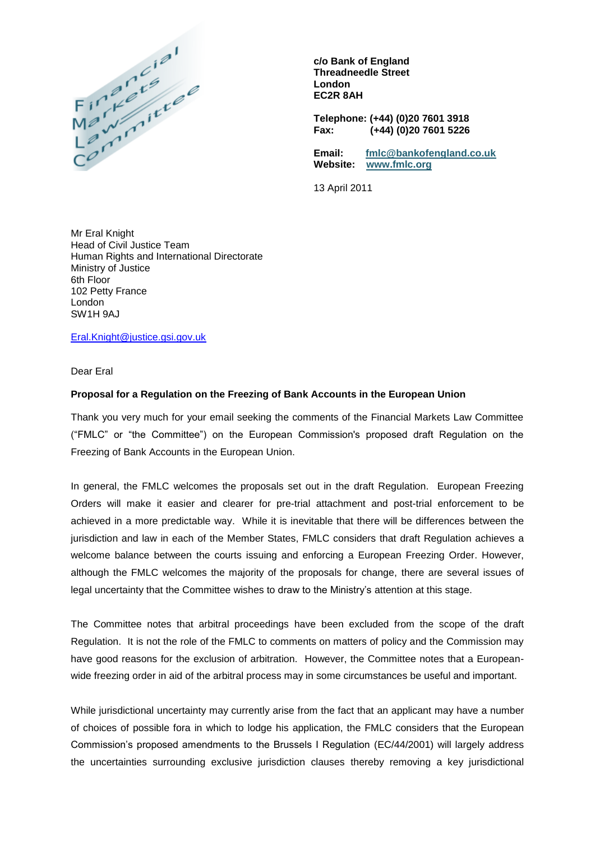

**c/o Bank of England Threadneedle Street London EC2R 8AH**

**Telephone: (+44) (0)20 7601 3918 Fax: (+44) (0)20 7601 5226**

**Email: [fmlc@bankofengland.co.uk](mailto:fmlc@bankofengland.co.uk) Website: [www.fmlc.org](http://www.fmlc.org/)**

13 April 2011

Mr Eral Knight Head of Civil Justice Team Human Rights and International Directorate Ministry of Justice 6th Floor 102 Petty France London SW1H 9AJ

[Eral.Knight@justice.gsi.gov.uk](mailto:Eral.Knight@justice.gsi.gov.uk)

Dear Eral

## **Proposal for a Regulation on the Freezing of Bank Accounts in the European Union**

Thank you very much for your email seeking the comments of the Financial Markets Law Committee ("FMLC" or "the Committee") on the European Commission's proposed draft Regulation on the Freezing of Bank Accounts in the European Union.

In general, the FMLC welcomes the proposals set out in the draft Regulation. European Freezing Orders will make it easier and clearer for pre-trial attachment and post-trial enforcement to be achieved in a more predictable way. While it is inevitable that there will be differences between the jurisdiction and law in each of the Member States, FMLC considers that draft Regulation achieves a welcome balance between the courts issuing and enforcing a European Freezing Order. However, although the FMLC welcomes the majority of the proposals for change, there are several issues of legal uncertainty that the Committee wishes to draw to the Ministry's attention at this stage.

The Committee notes that arbitral proceedings have been excluded from the scope of the draft Regulation. It is not the role of the FMLC to comments on matters of policy and the Commission may have good reasons for the exclusion of arbitration. However, the Committee notes that a Europeanwide freezing order in aid of the arbitral process may in some circumstances be useful and important.

While jurisdictional uncertainty may currently arise from the fact that an applicant may have a number of choices of possible fora in which to lodge his application, the FMLC considers that the European Commission's proposed amendments to the Brussels I Regulation (EC/44/2001) will largely address the uncertainties surrounding exclusive jurisdiction clauses thereby removing a key jurisdictional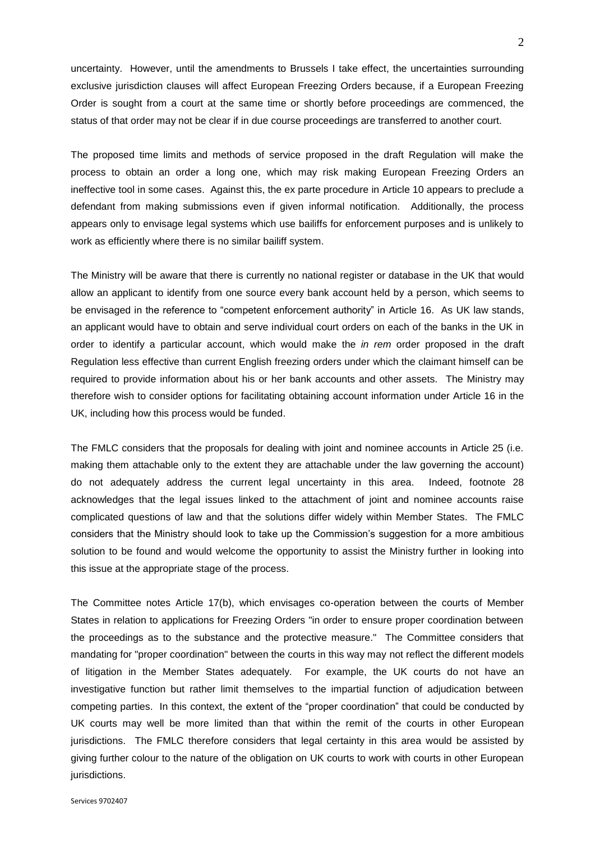uncertainty. However, until the amendments to Brussels I take effect, the uncertainties surrounding exclusive jurisdiction clauses will affect European Freezing Orders because, if a European Freezing Order is sought from a court at the same time or shortly before proceedings are commenced, the status of that order may not be clear if in due course proceedings are transferred to another court.

The proposed time limits and methods of service proposed in the draft Regulation will make the process to obtain an order a long one, which may risk making European Freezing Orders an ineffective tool in some cases. Against this, the ex parte procedure in Article 10 appears to preclude a defendant from making submissions even if given informal notification. Additionally, the process appears only to envisage legal systems which use bailiffs for enforcement purposes and is unlikely to work as efficiently where there is no similar bailiff system.

The Ministry will be aware that there is currently no national register or database in the UK that would allow an applicant to identify from one source every bank account held by a person, which seems to be envisaged in the reference to "competent enforcement authority" in Article 16. As UK law stands, an applicant would have to obtain and serve individual court orders on each of the banks in the UK in order to identify a particular account, which would make the *in rem* order proposed in the draft Regulation less effective than current English freezing orders under which the claimant himself can be required to provide information about his or her bank accounts and other assets. The Ministry may therefore wish to consider options for facilitating obtaining account information under Article 16 in the UK, including how this process would be funded.

The FMLC considers that the proposals for dealing with joint and nominee accounts in Article 25 (i.e. making them attachable only to the extent they are attachable under the law governing the account) do not adequately address the current legal uncertainty in this area. Indeed, footnote 28 acknowledges that the legal issues linked to the attachment of joint and nominee accounts raise complicated questions of law and that the solutions differ widely within Member States. The FMLC considers that the Ministry should look to take up the Commission's suggestion for a more ambitious solution to be found and would welcome the opportunity to assist the Ministry further in looking into this issue at the appropriate stage of the process.

The Committee notes Article 17(b), which envisages co-operation between the courts of Member States in relation to applications for Freezing Orders "in order to ensure proper coordination between the proceedings as to the substance and the protective measure." The Committee considers that mandating for "proper coordination" between the courts in this way may not reflect the different models of litigation in the Member States adequately. For example, the UK courts do not have an investigative function but rather limit themselves to the impartial function of adjudication between competing parties. In this context, the extent of the "proper coordination" that could be conducted by UK courts may well be more limited than that within the remit of the courts in other European jurisdictions. The FMLC therefore considers that legal certainty in this area would be assisted by giving further colour to the nature of the obligation on UK courts to work with courts in other European jurisdictions.